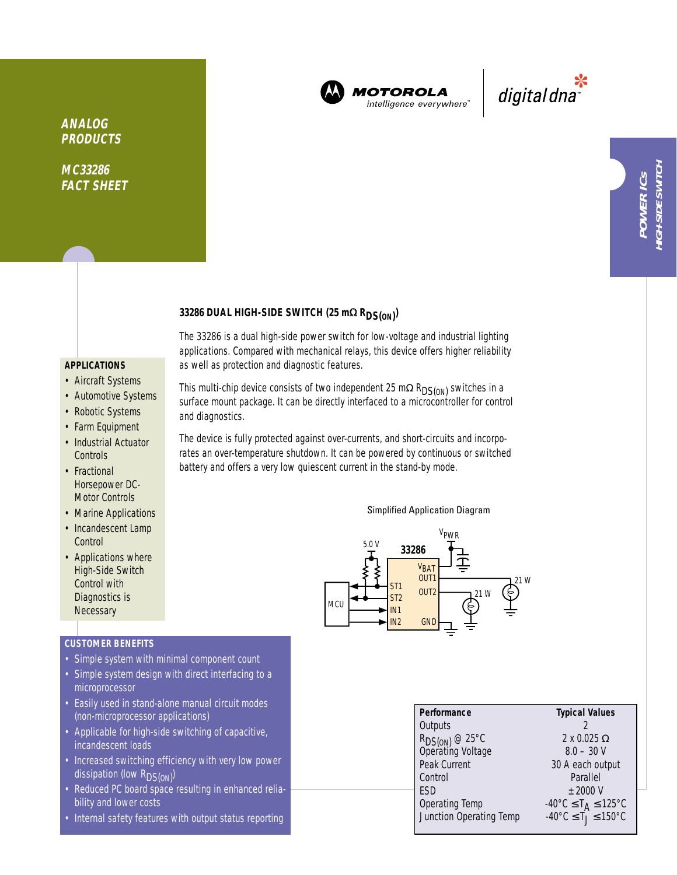

MOTOROLA intelligence everywhere

digitaldna

## **ANALOG PRODUCTS**

**MC33286 FACT SHEET**

# **33286 DUAL HIGH-SIDE SWITCH (25 m**<sup>Ω</sup> **RDS(ON) )**

## **APPLICATIONS**

- Aircraft Systems
- Automotive Systems
- Robotic Systems
- Farm Equipment
- Industrial Actuator **Controls**
- Fractional Horsepower DC-Motor Controls
- Marine Applications
- Incandescent Lamp **Control**
- Applications where High-Side Switch Control with Diagnostics is **Necessary**

## **CUSTOMER BENEFITS**

- Simple system with minimal component count
- Simple system design with direct interfacing to a microprocessor
- Easily used in stand-alone manual circuit modes (non-microprocessor applications)
- Applicable for high-side switching of capacitive, incandescent loads
- Increased switching efficiency with very low power dissipation (low R<sub>DS(ON)</sub>)
- Reduced PC board space resulting in enhanced reliability and lower costs
- Internal safety features with output status reporting

as well as protection and diagnostic features. This multi-chip device consists of two independent 25 m $\Omega$  R<sub>DS(ON</sub>) switches in a surface mount package. It can be directly interfaced to a microcontroller for control

and diagnostics.

The 33286 is a dual high-side power switch for low-voltage and industrial lighting applications. Compared with mechanical relays, this device offers higher reliability

The device is fully protected against over-currents, and short-circuits and incorporates an over-temperature shutdown. It can be powered by continuous or switched battery and offers a very low quiescent current in the stand-by mode.

### Simplified Application Diagram



| Performance                                     | <b>Typical Values</b>                                         |  |  |
|-------------------------------------------------|---------------------------------------------------------------|--|--|
| Outputs                                         |                                                               |  |  |
| R <sub>DS(ON)</sub> @ 25°C<br>Operating Voltage | $2 \times 0.025 \Omega$                                       |  |  |
|                                                 | $8.0 - 30$ V                                                  |  |  |
| Peak Current                                    | 30 A each output                                              |  |  |
| Control                                         | Parallel                                                      |  |  |
| ESD                                             | $+2000V$                                                      |  |  |
| Operating Temp                                  | $-40^{\circ}$ C $\leq$ T <sub>A</sub> $\leq$ 125 $^{\circ}$ C |  |  |
| Junction Operating Temp                         | $-40^{\circ}$ C $\leq$ T $\leq$ 150°C                         |  |  |